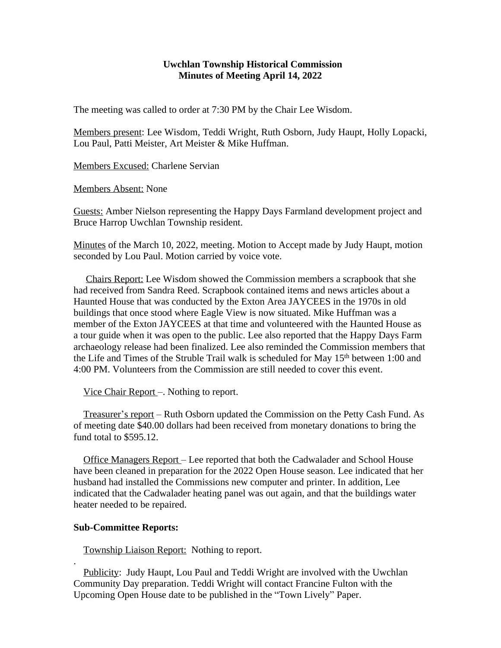## **Uwchlan Township Historical Commission Minutes of Meeting April 14, 2022**

The meeting was called to order at 7:30 PM by the Chair Lee Wisdom.

Members present: Lee Wisdom, Teddi Wright, Ruth Osborn, Judy Haupt, Holly Lopacki, Lou Paul, Patti Meister, Art Meister & Mike Huffman.

Members Excused: Charlene Servian

Members Absent: None

Guests: Amber Nielson representing the Happy Days Farmland development project and Bruce Harrop Uwchlan Township resident.

Minutes of the March 10, 2022, meeting. Motion to Accept made by Judy Haupt, motion seconded by Lou Paul. Motion carried by voice vote.

 Chairs Report: Lee Wisdom showed the Commission members a scrapbook that she had received from Sandra Reed. Scrapbook contained items and news articles about a Haunted House that was conducted by the Exton Area JAYCEES in the 1970s in old buildings that once stood where Eagle View is now situated. Mike Huffman was a member of the Exton JAYCEES at that time and volunteered with the Haunted House as a tour guide when it was open to the public. Lee also reported that the Happy Days Farm archaeology release had been finalized. Lee also reminded the Commission members that the Life and Times of the Struble Trail walk is scheduled for May 15<sup>th</sup> between 1:00 and 4:00 PM. Volunteers from the Commission are still needed to cover this event.

Vice Chair Report –. Nothing to report.

 Treasurer's report – Ruth Osborn updated the Commission on the Petty Cash Fund. As of meeting date \$40.00 dollars had been received from monetary donations to bring the fund total to \$595.12.

 Office Managers Report – Lee reported that both the Cadwalader and School House have been cleaned in preparation for the 2022 Open House season. Lee indicated that her husband had installed the Commissions new computer and printer. In addition, Lee indicated that the Cadwalader heating panel was out again, and that the buildings water heater needed to be repaired.

## **Sub-Committee Reports:**

.

Township Liaison Report: Nothing to report.

Publicity: Judy Haupt, Lou Paul and Teddi Wright are involved with the Uwchlan Community Day preparation. Teddi Wright will contact Francine Fulton with the Upcoming Open House date to be published in the "Town Lively" Paper.